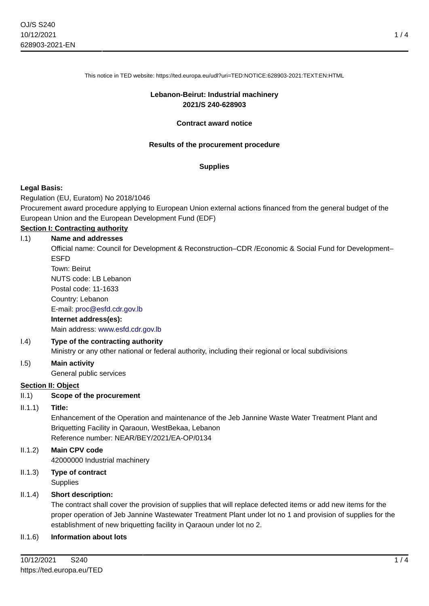This notice in TED website: https://ted.europa.eu/udl?uri=TED:NOTICE:628903-2021:TEXT:EN:HTML

### **Lebanon-Beirut: Industrial machinery 2021/S 240-628903**

#### **Contract award notice**

### **Results of the procurement procedure**

### **Supplies**

### **Legal Basis:**

Regulation (EU, Euratom) No 2018/1046

Procurement award procedure applying to European Union external actions financed from the general budget of the European Union and the European Development Fund (EDF)

# **Section I: Contracting authority**

### I.1) **Name and addresses**

Official name: Council for Development & Reconstruction–CDR /Economic & Social Fund for Development– ESFD

Town: Beirut NUTS code: LB Lebanon Postal code: 11-1633 Country: Lebanon E-mail: [proc@esfd.cdr.gov.lb](mailto:proc@esfd.cdr.gov.lb) **Internet address(es):**

Main address:<www.esfd.cdr.gov.lb>

### I.4) **Type of the contracting authority**

Ministry or any other national or federal authority, including their regional or local subdivisions

#### I.5) **Main activity**

General public services

### **Section II: Object**

### II.1) **Scope of the procurement**

#### II.1.1) **Title:**

Enhancement of the Operation and maintenance of the Jeb Jannine Waste Water Treatment Plant and Briquetting Facility in Qaraoun, WestBekaa, Lebanon Reference number: NEAR/BEY/2021/EA-OP/0134

II.1.2) **Main CPV code**

42000000 Industrial machinery

II.1.3) **Type of contract Supplies** 

### II.1.4) **Short description:**

The contract shall cover the provision of supplies that will replace defected items or add new items for the proper operation of Jeb Jannine Wastewater Treatment Plant under lot no 1 and provision of supplies for the establishment of new briquetting facility in Qaraoun under lot no 2.

### II.1.6) **Information about lots**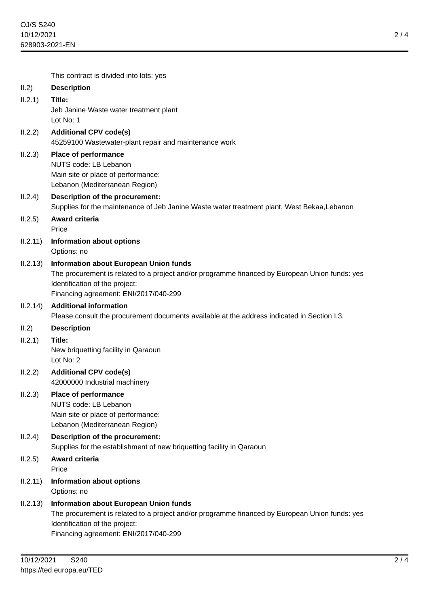2 / 4

|          | This contract is divided into lots: yes                                                                                                                                                                                    |
|----------|----------------------------------------------------------------------------------------------------------------------------------------------------------------------------------------------------------------------------|
| II.2)    | <b>Description</b>                                                                                                                                                                                                         |
| II.2.1)  | Title:<br>Jeb Janine Waste water treatment plant<br>Lot No: 1                                                                                                                                                              |
| II.2.2)  | <b>Additional CPV code(s)</b><br>45259100 Wastewater-plant repair and maintenance work                                                                                                                                     |
| II.2.3)  | <b>Place of performance</b><br>NUTS code: LB Lebanon<br>Main site or place of performance:<br>Lebanon (Mediterranean Region)                                                                                               |
| II.2.4)  | <b>Description of the procurement:</b><br>Supplies for the maintenance of Jeb Janine Waste water treatment plant, West Bekaa, Lebanon                                                                                      |
| II.2.5)  | <b>Award criteria</b>                                                                                                                                                                                                      |
|          | Price                                                                                                                                                                                                                      |
| II.2.11) | <b>Information about options</b><br>Options: no                                                                                                                                                                            |
| II.2.13) | <b>Information about European Union funds</b><br>The procurement is related to a project and/or programme financed by European Union funds: yes<br>Identification of the project:<br>Financing agreement: ENI/2017/040-299 |
| II.2.14) | <b>Additional information</b><br>Please consult the procurement documents available at the address indicated in Section I.3.                                                                                               |
| II.2)    | <b>Description</b>                                                                                                                                                                                                         |
| II.2.1)  | Title:<br>New briquetting facility in Qaraoun<br>Lot No: 2                                                                                                                                                                 |
| II.2.2)  | <b>Additional CPV code(s)</b><br>42000000 Industrial machinery                                                                                                                                                             |
| II.2.3)  | <b>Place of performance</b><br>NUTS code: LB Lebanon<br>Main site or place of performance:<br>Lebanon (Mediterranean Region)                                                                                               |
| II.2.4)  | <b>Description of the procurement:</b><br>Supplies for the establishment of new briquetting facility in Qaraoun                                                                                                            |
| II.2.5)  | Award criteria<br>Price                                                                                                                                                                                                    |
| II.2.11) | <b>Information about options</b><br>Options: no                                                                                                                                                                            |
| II.2.13) | <b>Information about European Union funds</b><br>The procurement is related to a project and/or programme financed by European Union funds: yes<br>Identification of the project:<br>Financing agreement: ENI/2017/040-299 |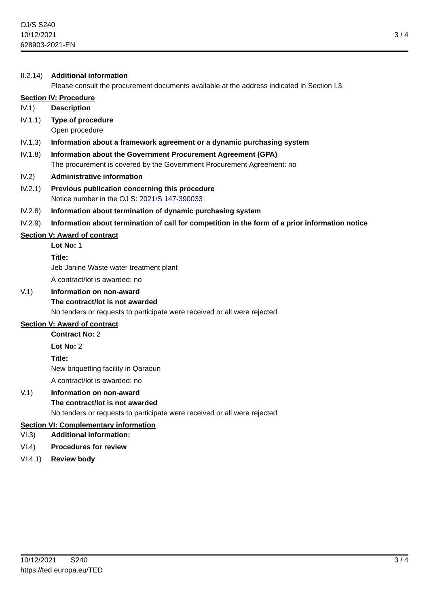### II.2.14) **Additional information**

Please consult the procurement documents available at the address indicated in Section I.3.

## **Section IV: Procedure**

### IV.1) **Description**

IV.1.1) **Type of procedure** Open procedure

#### IV.1.3) **Information about a framework agreement or a dynamic purchasing system**

IV.1.8) **Information about the Government Procurement Agreement (GPA)** The procurement is covered by the Government Procurement Agreement: no

### IV.2) **Administrative information**

IV.2.1) **Previous publication concerning this procedure** Notice number in the OJ S: [2021/S 147-390033](https://ted.europa.eu/udl?uri=TED:NOTICE:390033-2021:TEXT:EN:HTML)

### IV.2.8) **Information about termination of dynamic purchasing system**

IV.2.9) **Information about termination of call for competition in the form of a prior information notice**

### **Section V: Award of contract**

**Lot No:** 1 **Title:** Jeb Janine Waste water treatment plant A contract/lot is awarded: no

### V.1) **Information on non-award**

### **The contract/lot is not awarded**

No tenders or requests to participate were received or all were rejected

## **Section V: Award of contract**

**Contract No:** 2

**Lot No:** 2

**Title:**

New briquetting facility in Qaraoun

A contract/lot is awarded: no

# V.1) **Information on non-award**

**The contract/lot is not awarded**

No tenders or requests to participate were received or all were rejected

# **Section VI: Complementary information**

- VI.3) **Additional information:**
- VI.4) **Procedures for review**
- VI.4.1) **Review body**